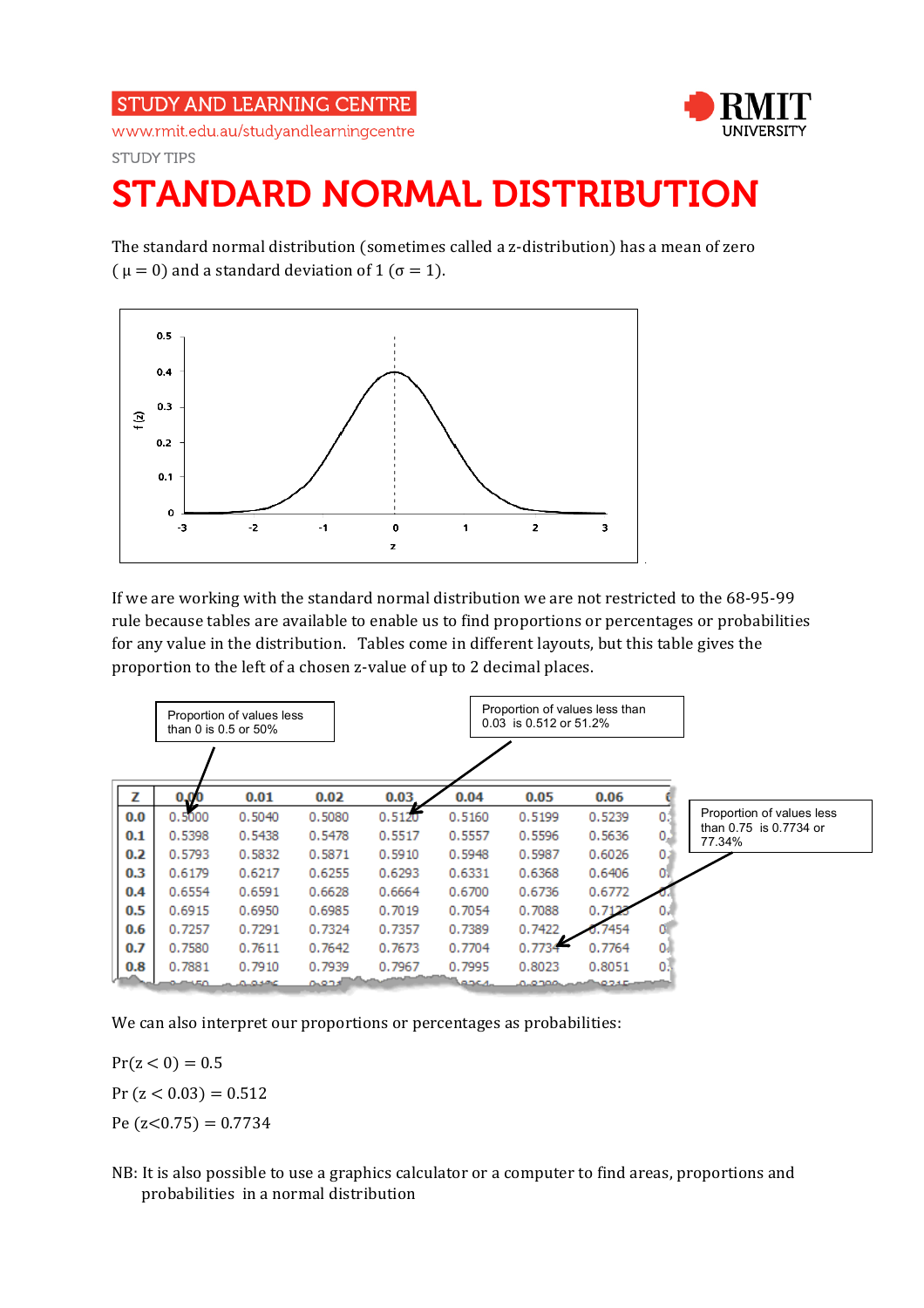## **STUDY AND LEARNING CENTRE**



www.rmit.edu.au/studyandlearningcentre **STUDY TIPS** 

## STANDARD NORMAL DISTRIBUTION

The standard normal distribution (sometimes called a z-distribution) has a mean of zero (  $\mu = 0$ ) and a standard deviation of 1 ( $\sigma = 1$ ).



If we are working with the standard normal distribution we are not restricted to the 68-95-99 rule because tables are available to enable us to find proportions or percentages or probabilities for any value in the distribution. Tables come in different layouts, but this table gives the proportion to the left of a chosen z-value of up to 2 decimal places.



We can also interpret our proportions or percentages as probabilities:

 $Pr(z < 0) = 0.5$  $Pr(z < 0.03) = 0.512$ Pe  $(z<0.75) = 0.7734$ 

NB: It is also possible to use a graphics calculator or a computer to find areas, proportions and probabilities in a normal distribution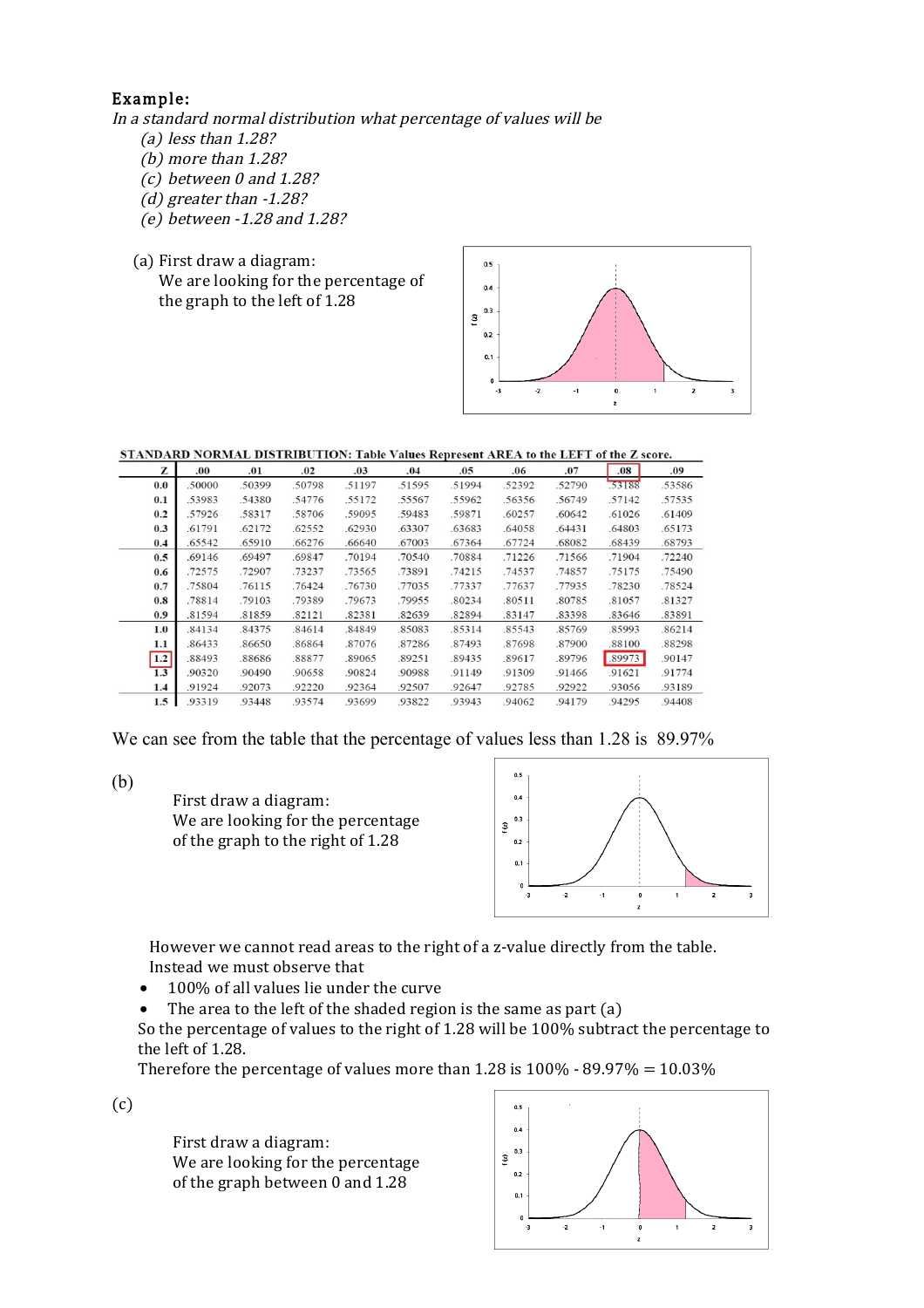## Example:

In a standard normal distribution what percentage of values will be

- (a) less than 1.28?
- (b) more than 1.28?
- (c) between 0 and 1.28?
- (d) greater than -1.28?
- (e) between -1.28 and 1.28?
- (a) First draw a diagram:
	- We are looking for the percentage of the graph to the left of 1.28



STANDARD NORMAL DISTRIBUTION: Table Values Represent AREA to the LEFT of the Z score.

| z   | .00.   | .01    | .02    | .03    | .04    | .05    | .06    | .07    | .08    | .09    |
|-----|--------|--------|--------|--------|--------|--------|--------|--------|--------|--------|
| 0.0 | .50000 | .50399 | .50798 | .51197 | .51595 | .51994 | .52392 | .52790 | .53188 | .53586 |
| 0.1 | .53983 | .54380 | .54776 | .55172 | .55567 | .55962 | .56356 | .56749 | .57142 | .57535 |
| 0.2 | .57926 | .58317 | .58706 | .59095 | .59483 | .59871 | .60257 | .60642 | .61026 | .61409 |
| 0.3 | .61791 | .62172 | .62552 | .62930 | .63307 | .63683 | .64058 | .64431 | .64803 | .65173 |
| 0.4 | .65542 | .65910 | .66276 | .66640 | .67003 | .67364 | .67724 | .68082 | .68439 | .68793 |
| 0.5 | .69146 | .69497 | .69847 | .70194 | .70540 | .70884 | .71226 | .71566 | .71904 | .72240 |
| 0.6 | .72575 | .72907 | .73237 | .73565 | .73891 | .74215 | .74537 | .74857 | .75175 | .75490 |
| 0.7 | .75804 | .76115 | .76424 | .76730 | .77035 | .77337 | .77637 | .77935 | .78230 | .78524 |
| 0.8 | .78814 | .79103 | .79389 | .79673 | .79955 | .80234 | .80511 | .80785 | .81057 | .81327 |
| 0.9 | .81594 | .81859 | .82121 | .82381 | .82639 | .82894 | .83147 | .83398 | .83646 | .83891 |
| 1.0 | .84134 | .84375 | .84614 | .84849 | .85083 | .85314 | .85543 | .85769 | .85993 | .86214 |
| 1.1 | .86433 | .86650 | .86864 | .87076 | .87286 | .87493 | .87698 | .87900 | .88100 | .88298 |
| 1.2 | .88493 | .88686 | .88877 | .89065 | .89251 | .89435 | .89617 | .89796 | .89973 | .90147 |
| 1.3 | .90320 | .90490 | .90658 | .90824 | .90988 | .91149 | .91309 | .91466 | .91621 | .91774 |
| 1.4 | .91924 | .92073 | .92220 | .92364 | .92507 | .92647 | .92785 | .92922 | .93056 | .93189 |
| 1.5 | .93319 | .93448 | .93574 | .93699 | .93822 | .93943 | .94062 | .94179 | .94295 | .94408 |

We can see from the table that the percentage of values less than 1.28 is 89.97%

(b)

First draw a diagram: We are looking for the percentage of the graph to the right of 1.28



 However we cannot read areas to the right of a z-value directly from the table. Instead we must observe that

• 100% of all values lie under the curve

• The area to the left of the shaded region is the same as part (a)

 So the percentage of values to the right of 1.28 will be 100% subtract the percentage to the left of 1.28.

Therefore the percentage of values more than 1.28 is  $100\%$  -  $89.97\%$  =  $10.03\%$ 

(c)

First draw a diagram: We are looking for the percentage of the graph between 0 and 1.28

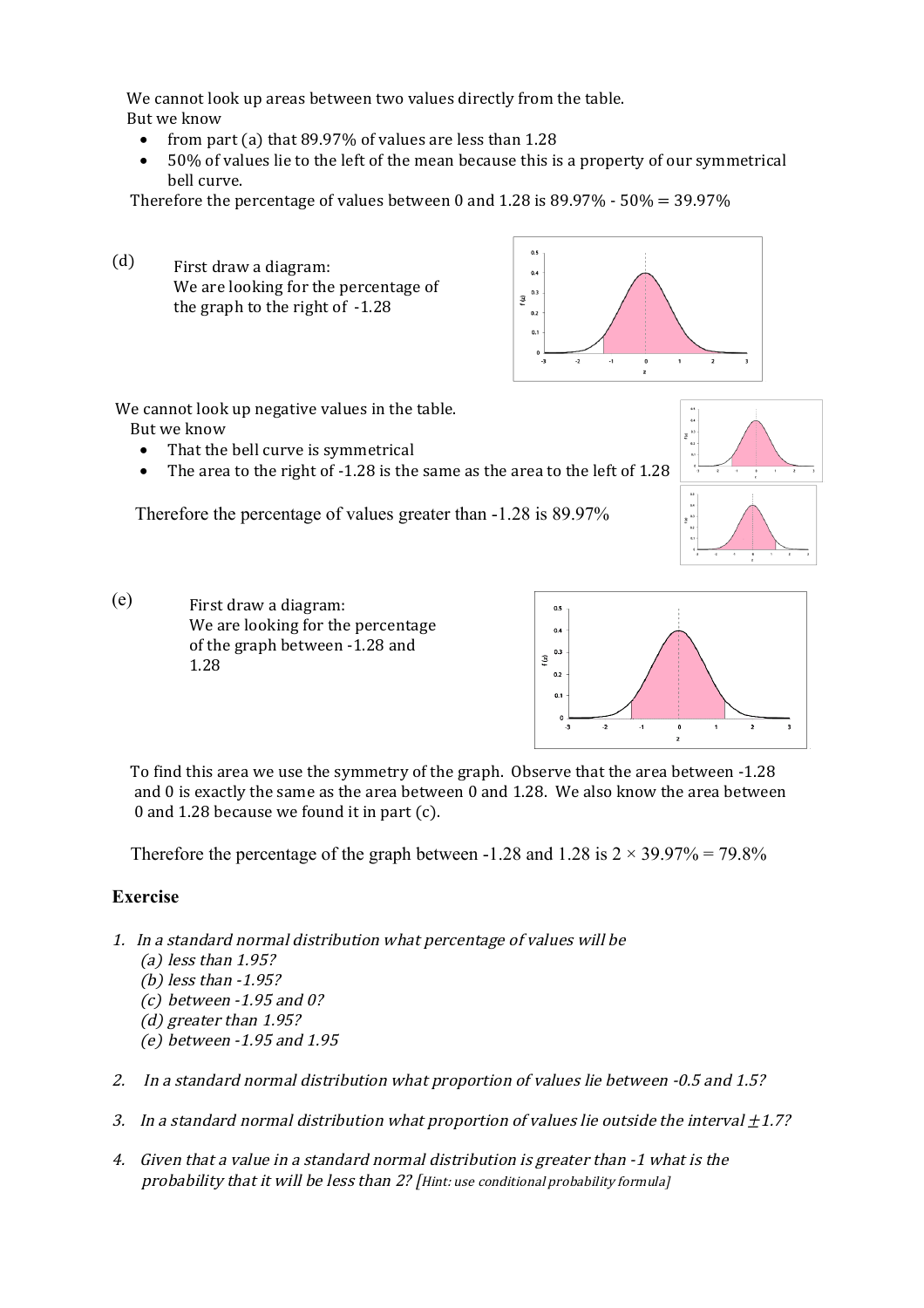We cannot look up areas between two values directly from the table.

But we know

- from part (a) that 89.97% of values are less than 1.28
- 50% of values lie to the left of the mean because this is a property of our symmetrical bell curve.

Therefore the percentage of values between 0 and  $1.28$  is  $89.97\%$  -  $50\% = 39.97\%$ 

(d) First draw a diagram: We are looking for the percentage of the graph to the right of -1.28



We cannot look up negative values in the table.

But we know

- That the bell curve is symmetrical
- The area to the right of -1.28 is the same as the area to the left of 1.28

Therefore the percentage of values greater than -1.28 is 89.97%



(e) First draw a diagram: We are looking for the percentage of the graph between -1.28 and 1.28



 To find this area we use the symmetry of the graph. Observe that the area between -1.28 and 0 is exactly the same as the area between 0 and 1.28. We also know the area between 0 and 1.28 because we found it in part (c).

Therefore the percentage of the graph between -1.28 and 1.28 is  $2 \times 39.97\% = 79.8\%$ 

## **Exercise**

- 1. In a standard normal distribution what percentage of values will be
	- (a) less than 1.95?
	- (b) less than -1.95?
	- (c) between -1.95 and 0?
	- (d) greater than 1.95?
	- (e) between -1.95 and 1.95
- 2. In a standard normal distribution what proportion of values lie between -0.5 and 1.5?
- 3. In a standard normal distribution what proportion of values lie outside the interval  $\pm 1.7$ ?
- 4. Given that a value in a standard normal distribution is greater than -1 what is the probability that it will be less than 2? [Hint: use conditional probability formula]